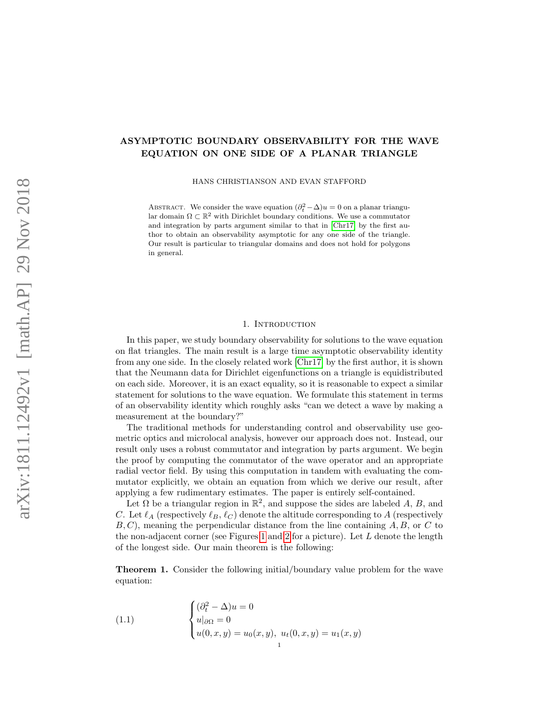# ASYMPTOTIC BOUNDARY OBSERVABILITY FOR THE WAVE EQUATION ON ONE SIDE OF A PLANAR TRIANGLE

HANS CHRISTIANSON AND EVAN STAFFORD

ABSTRACT. We consider the wave equation  $(\partial_t^2 - \Delta)u = 0$  on a planar triangular domain  $\Omega \subset \mathbb{R}^2$  with Dirichlet boundary conditions. We use a commutator and integration by parts argument similar to that in [\[Chr17\]](#page-16-0) by the first author to obtain an observability asymptotic for any one side of the triangle. Our result is particular to triangular domains and does not hold for polygons in general.

### 1. INTRODUCTION

In this paper, we study boundary observability for solutions to the wave equation on flat triangles. The main result is a large time asymptotic observability identity from any one side. In the closely related work [\[Chr17\]](#page-16-0) by the first author, it is shown that the Neumann data for Dirichlet eigenfunctions on a triangle is equidistributed on each side. Moreover, it is an exact equality, so it is reasonable to expect a similar statement for solutions to the wave equation. We formulate this statement in terms of an observability identity which roughly asks "can we detect a wave by making a measurement at the boundary?"

The traditional methods for understanding control and observability use geometric optics and microlocal analysis, however our approach does not. Instead, our result only uses a robust commutator and integration by parts argument. We begin the proof by computing the commutator of the wave operator and an appropriate radial vector field. By using this computation in tandem with evaluating the commutator explicitly, we obtain an equation from which we derive our result, after applying a few rudimentary estimates. The paper is entirely self-contained.

Let  $\Omega$  be a triangular region in  $\mathbb{R}^2$ , and suppose the sides are labeled A, B, and C. Let  $\ell_A$  (respectively  $\ell_B, \ell_C$ ) denote the altitude corresponding to A (respectively  $B, C$ , meaning the perpendicular distance from the line containing  $A, B$ , or  $C$  to the non-adjacent corner (see Figures [1](#page-7-0) and [2](#page-12-0) for a picture). Let  $L$  denote the length of the longest side. Our main theorem is the following:

<span id="page-0-1"></span>Theorem 1. Consider the following initial/boundary value problem for the wave equation:

<span id="page-0-0"></span>(1.1) 
$$
\begin{cases} (\partial_t^2 - \Delta)u = 0 \\ u|_{\partial \Omega} = 0 \\ u(0, x, y) = u_0(x, y), \ u_t(0, x, y) = u_1(x, y) \end{cases}
$$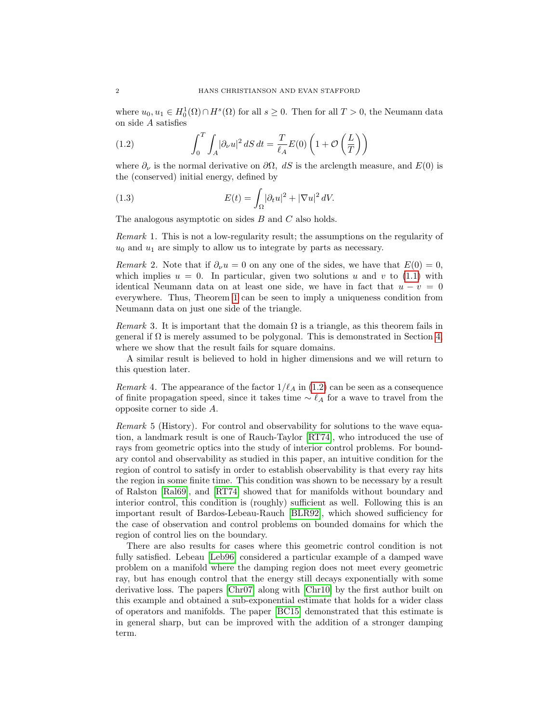where  $u_0, u_1 \in H_0^1(\Omega) \cap H^s(\Omega)$  for all  $s \geq 0$ . Then for all  $T > 0$ , the Neumann data on side A satisfies

<span id="page-1-0"></span>(1.2) 
$$
\int_0^T \int_A |\partial_\nu u|^2 \, dS \, dt = \frac{T}{\ell_A} E(0) \left( 1 + \mathcal{O}\left(\frac{L}{T}\right) \right)
$$

where  $\partial_{\nu}$  is the normal derivative on  $\partial\Omega$ , dS is the arclength measure, and  $E(0)$  is the (conserved) initial energy, defined by

<span id="page-1-1"></span>(1.3) 
$$
E(t) = \int_{\Omega} |\partial_t u|^2 + |\nabla u|^2 dV.
$$

The analogous asymptotic on sides B and C also holds.

Remark 1. This is not a low-regularity result; the assumptions on the regularity of  $u_0$  and  $u_1$  are simply to allow us to integrate by parts as necessary.

Remark 2. Note that if  $\partial_{\nu}u = 0$  on any one of the sides, we have that  $E(0) = 0$ , which implies  $u = 0$ . In particular, given two solutions u and v to [\(1.1\)](#page-0-0) with identical Neumann data on at least one side, we have in fact that  $u - v = 0$ everywhere. Thus, Theorem [1](#page-0-1) can be seen to imply a uniqueness condition from Neumann data on just one side of the triangle.

Remark 3. It is important that the domain  $\Omega$  is a triangle, as this theorem fails in general if  $\Omega$  is merely assumed to be polygonal. This is demonstrated in Section [4,](#page-15-0) where we show that the result fails for square domains.

A similar result is believed to hold in higher dimensions and we will return to this question later.

Remark 4. The appearance of the factor  $1/\ell_A$  in [\(1.2\)](#page-1-0) can be seen as a consequence of finite propagation speed, since it takes time  $\sim \ell_A$  for a wave to travel from the opposite corner to side A.

Remark 5 (History). For control and observability for solutions to the wave equation, a landmark result is one of Rauch-Taylor [\[RT74\]](#page-16-1), who introduced the use of rays from geometric optics into the study of interior control problems. For boundary contol and observability as studied in this paper, an intuitive condition for the region of control to satisfy in order to establish observability is that every ray hits the region in some finite time. This condition was shown to be necessary by a result of Ralston [\[Ral69\]](#page-16-2), and [\[RT74\]](#page-16-1) showed that for manifolds without boundary and interior control, this condition is (roughly) sufficient as well. Following this is an important result of Bardos-Lebeau-Rauch [\[BLR92\]](#page-16-3), which showed sufficiency for the case of observation and control problems on bounded domains for which the region of control lies on the boundary.

There are also results for cases where this geometric control condition is not fully satisfied. Lebeau [\[Leb96\]](#page-16-4) considered a particular example of a damped wave problem on a manifold where the damping region does not meet every geometric ray, but has enough control that the energy still decays exponentially with some derivative loss. The papers [\[Chr07\]](#page-16-5) along with [\[Chr10\]](#page-16-6) by the first author built on this example and obtained a sub-exponential estimate that holds for a wider class of operators and manifolds. The paper [\[BC15\]](#page-16-7) demonstrated that this estimate is in general sharp, but can be improved with the addition of a stronger damping term.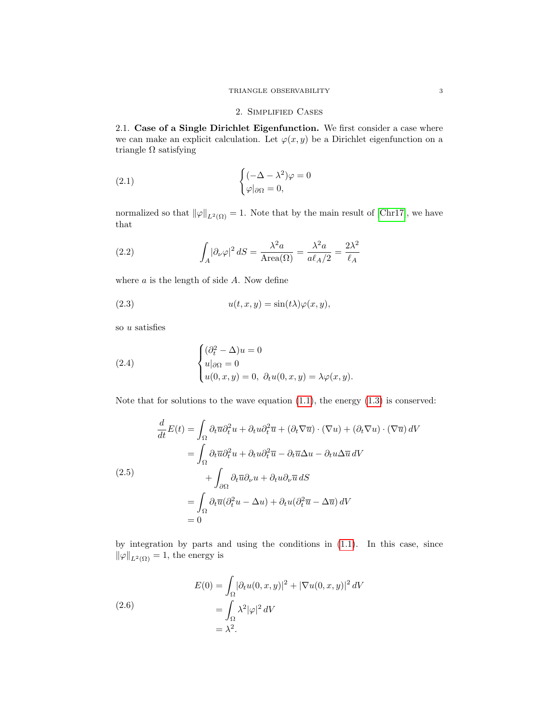# <span id="page-2-0"></span>2. Simplified Cases

2.1. Case of a Single Dirichlet Eigenfunction. We first consider a case where we can make an explicit calculation. Let  $\varphi(x, y)$  be a Dirichlet eigenfunction on a triangle  $\Omega$  satisfying

(2.1) 
$$
\begin{cases} (-\Delta - \lambda^2)\varphi = 0\\ \varphi|_{\partial\Omega} = 0, \end{cases}
$$

normalized so that  $\|\varphi\|_{L^2(\Omega)} = 1$ . Note that by the main result of [\[Chr17\]](#page-16-0), we have that

(2.2) 
$$
\int_A |\partial_\nu \varphi|^2 dS = \frac{\lambda^2 a}{\text{Area}(\Omega)} = \frac{\lambda^2 a}{a \ell_A/2} = \frac{2\lambda^2}{\ell_A}
$$

where  $a$  is the length of side  $A$ . Now define

(2.3) 
$$
u(t, x, y) = \sin(t\lambda)\varphi(x, y),
$$

so u satisfies

(2.4) 
$$
\begin{cases} (\partial_t^2 - \Delta)u = 0 \\ u|_{\partial\Omega} = 0 \\ u(0, x, y) = 0, \ \partial_t u(0, x, y) = \lambda \varphi(x, y). \end{cases}
$$

Note that for solutions to the wave equation  $(1.1)$ , the energy  $(1.3)$  is conserved:

$$
\frac{d}{dt}E(t) = \int_{\Omega} \partial_t \overline{u} \partial_t^2 u + \partial_t u \partial_t^2 \overline{u} + (\partial_t \nabla \overline{u}) \cdot (\nabla u) + (\partial_t \nabla u) \cdot (\nabla \overline{u}) dV
$$
\n
$$
= \int_{\Omega} \partial_t \overline{u} \partial_t^2 u + \partial_t u \partial_t^2 \overline{u} - \partial_t \overline{u} \Delta u - \partial_t u \Delta \overline{u} dV
$$
\n(2.5)\n
$$
+ \int_{\partial \Omega} \partial_t \overline{u} \partial_\nu u + \partial_t u \partial_\nu \overline{u} dS
$$
\n
$$
= \int_{\Omega} \partial_t \overline{u} (\partial_t^2 u - \Delta u) + \partial_t u (\partial_t^2 \overline{u} - \Delta \overline{u}) dV
$$
\n
$$
= 0
$$

by integration by parts and using the conditions in [\(1.1\)](#page-0-0). In this case, since  $\|\varphi\|_{L^2(\Omega)} = 1$ , the energy is

(2.6)  
\n
$$
E(0) = \int_{\Omega} |\partial_t u(0, x, y)|^2 + |\nabla u(0, x, y)|^2 dV
$$
\n
$$
= \int_{\Omega} \lambda^2 |\varphi|^2 dV
$$
\n
$$
= \lambda^2.
$$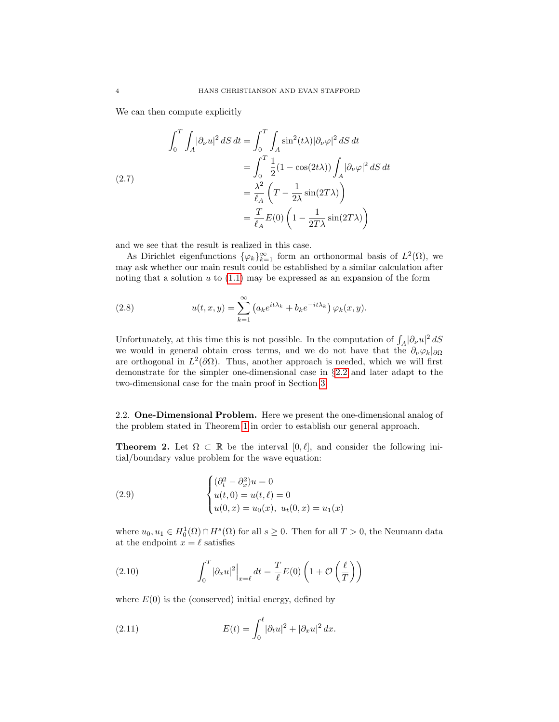We can then compute explicitly

(2.7)  
\n
$$
\int_0^T \int_A |\partial_\nu u|^2 \, dS \, dt = \int_0^T \int_A \sin^2(t\lambda) |\partial_\nu \varphi|^2 \, dS \, dt
$$
\n
$$
= \int_0^T \frac{1}{2} (1 - \cos(2t\lambda)) \int_A |\partial_\nu \varphi|^2 \, dS \, dt
$$
\n
$$
= \frac{\lambda^2}{\ell_A} \left( T - \frac{1}{2\lambda} \sin(2T\lambda) \right)
$$
\n
$$
= \frac{T}{\ell_A} E(0) \left( 1 - \frac{1}{2T\lambda} \sin(2T\lambda) \right)
$$

and we see that the result is realized in this case.

As Dirichlet eigenfunctions  $\{\varphi_k\}_{k=1}^{\infty}$  form an orthonormal basis of  $L^2(\Omega)$ , we may ask whether our main result could be established by a similar calculation after noting that a solution  $u$  to  $(1.1)$  may be expressed as an expansion of the form

(2.8) 
$$
u(t,x,y) = \sum_{k=1}^{\infty} \left( a_k e^{it\lambda_k} + b_k e^{-it\lambda_k} \right) \varphi_k(x,y).
$$

Unfortunately, at this time this is not possible. In the computation of  $\int_A |\partial_\nu u|^2 dS$ we would in general obtain cross terms, and we do not have that the  $\partial_{\nu}\varphi_k|_{\partial\Omega}$ are orthogonal in  $L^2(\partial\Omega)$ . Thus, another approach is needed, which we will first demonstrate for the simpler one-dimensional case in §[2.2](#page-3-0) and later adapt to the two-dimensional case for the main proof in Section [3.](#page-6-0)

<span id="page-3-0"></span>2.2. One-Dimensional Problem. Here we present the one-dimensional analog of the problem stated in Theorem [1](#page-0-1) in order to establish our general approach.

**Theorem 2.** Let  $\Omega \subset \mathbb{R}$  be the interval  $[0, \ell]$ , and consider the following initial/boundary value problem for the wave equation:

<span id="page-3-1"></span>(2.9) 
$$
\begin{cases} (\partial_t^2 - \partial_x^2)u = 0\\ u(t,0) = u(t,\ell) = 0\\ u(0,x) = u_0(x), u_t(0,x) = u_1(x) \end{cases}
$$

where  $u_0, u_1 \in H_0^1(\Omega) \cap H^s(\Omega)$  for all  $s \geq 0$ . Then for all  $T > 0$ , the Neumann data at the endpoint  $x = \ell$  satisfies

(2.10) 
$$
\int_0^T |\partial_x u|^2|_{x=\ell} dt = \frac{T}{\ell} E(0) \left( 1 + \mathcal{O} \left( \frac{\ell}{T} \right) \right)
$$

where  $E(0)$  is the (conserved) initial energy, defined by

(2.11) 
$$
E(t) = \int_0^{\ell} |\partial_t u|^2 + |\partial_x u|^2 dx.
$$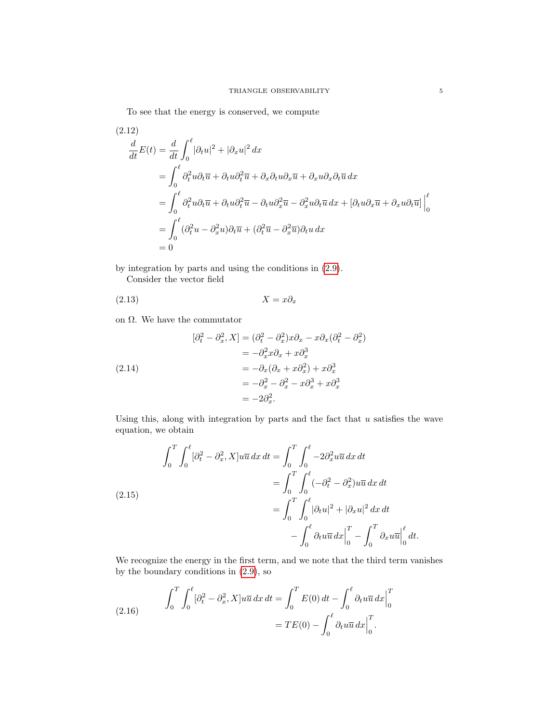To see that the energy is conserved, we compute

(2.12)  
\n
$$
\frac{d}{dt}E(t) = \frac{d}{dt} \int_0^{\ell} |\partial_t u|^2 + |\partial_x u|^2 dx
$$
\n
$$
= \int_0^{\ell} \partial_t^2 u \partial_t \overline{u} + \partial_t u \partial_t^2 \overline{u} + \partial_x \partial_t u \partial_x \overline{u} + \partial_x u \partial_x \partial_t \overline{u} dx
$$
\n
$$
= \int_0^{\ell} \partial_t^2 u \partial_t \overline{u} + \partial_t u \partial_t^2 \overline{u} - \partial_t u \partial_x^2 \overline{u} - \partial_x^2 u \partial_t \overline{u} dx + [\partial_t u \partial_x \overline{u} + \partial_x u \partial_t \overline{u}] \Big|_0^{\ell}
$$
\n
$$
= \int_0^{\ell} (\partial_t^2 u - \partial_x^2 u) \partial_t \overline{u} + (\partial_t^2 \overline{u} - \partial_x^2 \overline{u}) \partial_t u dx
$$
\n
$$
= 0
$$

by integration by parts and using the conditions in [\(2.9\)](#page-3-1). Consider the vector field

$$
(2.13)\t\t\t X = x\partial_x
$$

on Ω. We have the commutator

$$
[\partial_t^2 - \partial_x^2, X] = (\partial_t^2 - \partial_x^2)x\partial_x - x\partial_x(\partial_t^2 - \partial_x^2)
$$
  

$$
= -\partial_x^2 x\partial_x + x\partial_x^3
$$
  

$$
= -\partial_x(\partial_x + x\partial_x^2) + x\partial_x^3
$$
  

$$
= -\partial_x^2 - \partial_x^2 - x\partial_x^3 + x\partial_x^3
$$
  

$$
= -2\partial_x^2.
$$

Using this, along with integration by parts and the fact that  $u$  satisfies the wave equation, we obtain

<span id="page-4-0"></span>(2.15)  
\n
$$
\int_{0}^{T} \int_{0}^{\ell} [\partial_{t}^{2} - \partial_{x}^{2}, X] u \overline{u} \, dx \, dt = \int_{0}^{T} \int_{0}^{\ell} -2 \partial_{x}^{2} u \overline{u} \, dx \, dt
$$
\n
$$
= \int_{0}^{T} \int_{0}^{\ell} (-\partial_{t}^{2} - \partial_{x}^{2}) u \overline{u} \, dx \, dt
$$
\n
$$
= \int_{0}^{T} \int_{0}^{\ell} |\partial_{t} u|^{2} + |\partial_{x} u|^{2} \, dx \, dt
$$
\n
$$
- \int_{0}^{\ell} \partial_{t} u \overline{u} \, dx \Big|_{0}^{T} - \int_{0}^{T} \partial_{x} u \overline{u} \Big|_{0}^{\ell} \, dt.
$$

We recognize the energy in the first term, and we note that the third term vanishes by the boundary conditions in [\(2.9\)](#page-3-1), so

<span id="page-4-1"></span>(2.16) 
$$
\int_0^T \int_0^{\ell} [\partial_t^2 - \partial_x^2, X] u \overline{u} \, dx \, dt = \int_0^T E(0) \, dt - \int_0^{\ell} \partial_t u \overline{u} \, dx \Big|_0^T = TE(0) - \int_0^{\ell} \partial_t u \overline{u} \, dx \Big|_0^T.
$$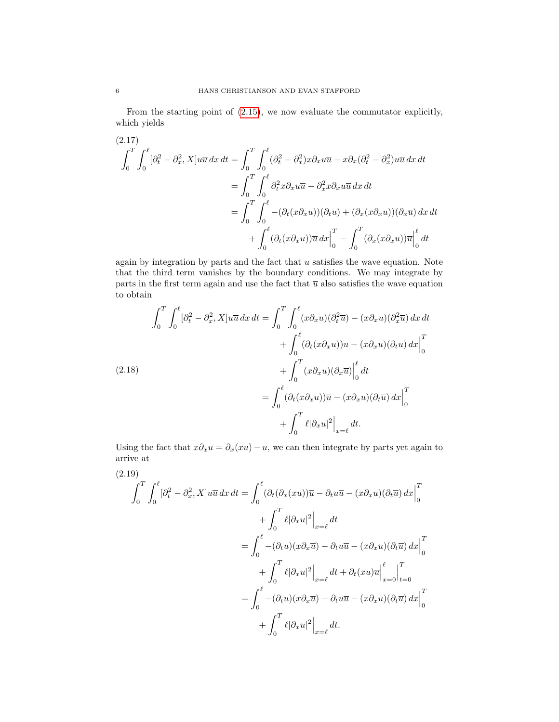From the starting point of [\(2.15\)](#page-4-0), we now evaluate the commutator explicitly, which yields

$$
(2.17)
$$
\n
$$
\int_{0}^{T} \int_{0}^{\ell} [\partial_{t}^{2} - \partial_{x}^{2}, X] u \overline{u} \, dx \, dt = \int_{0}^{T} \int_{0}^{\ell} (\partial_{t}^{2} - \partial_{x}^{2}) x \partial_{x} u \overline{u} - x \partial_{x} (\partial_{t}^{2} - \partial_{x}^{2}) u \overline{u} \, dx \, dt
$$
\n
$$
= \int_{0}^{T} \int_{0}^{\ell} \partial_{t}^{2} x \partial_{x} u \overline{u} - \partial_{x}^{2} x \partial_{x} u \overline{u} \, dx \, dt
$$
\n
$$
= \int_{0}^{T} \int_{0}^{\ell} -(\partial_{t} (x \partial_{x} u)) (\partial_{t} u) + (\partial_{x} (x \partial_{x} u)) (\partial_{x} \overline{u}) \, dx \, dt
$$
\n
$$
+ \int_{0}^{\ell} (\partial_{t} (x \partial_{x} u)) \overline{u} \, dx \Big|_{0}^{T} - \int_{0}^{T} (\partial_{x} (x \partial_{x} u)) \overline{u} \Big|_{0}^{\ell} \, dt
$$

again by integration by parts and the fact that  $u$  satisfies the wave equation. Note that the third term vanishes by the boundary conditions. We may integrate by parts in the first term again and use the fact that  $\overline{u}$  also satisfies the wave equation to obtain

$$
\int_{0}^{T} \int_{0}^{\ell} [\partial_{t}^{2} - \partial_{x}^{2}, X] u \overline{u} \, dx \, dt = \int_{0}^{T} \int_{0}^{\ell} (x \partial_{x} u)(\partial_{t}^{2} \overline{u}) - (x \partial_{x} u)(\partial_{x}^{2} \overline{u}) \, dx \, dt
$$

$$
+ \int_{0}^{\ell} (\partial_{t} (x \partial_{x} u)) \overline{u} - (x \partial_{x} u)(\partial_{t} \overline{u}) \, dx \Big|_{0}^{T}
$$

$$
+ \int_{0}^{T} (x \partial_{x} u)(\partial_{x} \overline{u}) \Big|_{0}^{\ell} \, dt
$$

$$
= \int_{0}^{\ell} (\partial_{t} (x \partial_{x} u)) \overline{u} - (x \partial_{x} u)(\partial_{t} \overline{u}) \, dx \Big|_{0}^{T}
$$

$$
+ \int_{0}^{T} \ell |\partial_{x} u|^{2} \Big|_{x=\ell} \, dt.
$$

Using the fact that  $x\partial_x u = \partial_x(xu) - u$ , we can then integrate by parts yet again to arrive at

<span id="page-5-0"></span>
$$
(2.19)
$$
\n
$$
\int_{0}^{T} \int_{0}^{\ell} [\partial_{t}^{2} - \partial_{x}^{2}, X] u \overline{u} \, dx \, dt = \int_{0}^{\ell} (\partial_{t} (\partial_{x} (x u)) \overline{u} - \partial_{t} u \overline{u} - (x \partial_{x} u) (\partial_{t} \overline{u}) \, dx \Big|_{0}^{T}
$$
\n
$$
+ \int_{0}^{T} \ell |\partial_{x} u|^{2} \Big|_{x=\ell} dt
$$
\n
$$
= \int_{0}^{\ell} -(\partial_{t} u)(x \partial_{x} \overline{u}) - \partial_{t} u \overline{u} - (x \partial_{x} u) (\partial_{t} \overline{u}) \, dx \Big|_{0}^{T}
$$
\n
$$
+ \int_{0}^{T} \ell |\partial_{x} u|^{2} \Big|_{x=\ell} dt + \partial_{t} (x u) \overline{u} \Big|_{x=0}^{\ell} \Big|_{t=0}^{T}
$$
\n
$$
= \int_{0}^{\ell} -(\partial_{t} u)(x \partial_{x} \overline{u}) - \partial_{t} u \overline{u} - (x \partial_{x} u) (\partial_{t} \overline{u}) \, dx \Big|_{0}^{T}
$$
\n
$$
+ \int_{0}^{T} \ell |\partial_{x} u|^{2} \Big|_{x=\ell} dt.
$$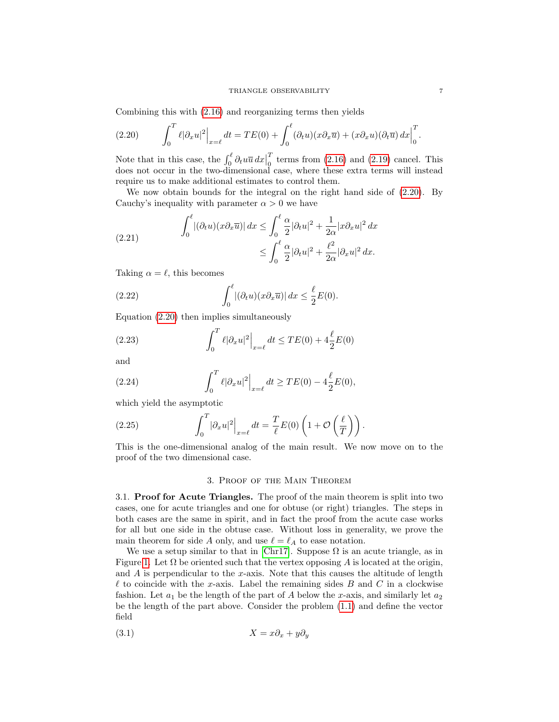Combining this with [\(2.16\)](#page-4-1) and reorganizing terms then yields

<span id="page-6-1"></span>(2.20) 
$$
\int_0^T \ell |\partial_x u|^2 \Big|_{x=\ell} dt = TE(0) + \int_0^{\ell} (\partial_t u)(x \partial_x \overline{u}) + (x \partial_x u)(\partial_t \overline{u}) dx \Big|_0^T.
$$

Note that in this case, the  $\int_0^{\ell} \partial_t u \overline{u} \, dx$  $\boldsymbol{\mathcal{I}}$  $\frac{1}{0}$  terms from  $(2.16)$  and  $(2.19)$  cancel. This does not occur in the two-dimensional case, where these extra terms will instead require us to make additional estimates to control them.

We now obtain bounds for the integral on the right hand side of  $(2.20)$ . By Cauchy's inequality with parameter  $\alpha > 0$  we have

(2.21) 
$$
\int_0^\ell |(\partial_t u)(x \partial_x \overline{u})| dx \le \int_0^\ell \frac{\alpha}{2} |\partial_t u|^2 + \frac{1}{2\alpha} |x \partial_x u|^2 dx
$$

$$
\le \int_0^\ell \frac{\alpha}{2} |\partial_t u|^2 + \frac{\ell^2}{2\alpha} |\partial_x u|^2 dx.
$$

Taking  $\alpha = \ell$ , this becomes

(2.22) 
$$
\int_0^\ell |(\partial_t u)(x \partial_x \overline{u})| dx \leq \frac{\ell}{2} E(0).
$$

Equation [\(2.20\)](#page-6-1) then implies simultaneously

(2.23) 
$$
\int_0^T \ell |\partial_x u|^2 \Big|_{x=\ell} dt \leq TE(0) + 4 \frac{\ell}{2} E(0)
$$

and

(2.24) 
$$
\int_0^T \ell |\partial_x u|^2 \Big|_{x=\ell} dt \geq TE(0) - 4\frac{\ell}{2}E(0),
$$

which yield the asymptotic

(2.25) 
$$
\int_0^T |\partial_x u|^2|_{x=\ell} dt = \frac{T}{\ell} E(0) \left( 1 + \mathcal{O}\left(\frac{\ell}{T}\right) \right).
$$

This is the one-dimensional analog of the main result. We now move on to the proof of the two dimensional case.

## 3. Proof of the Main Theorem

<span id="page-6-0"></span>3.1. Proof for Acute Triangles. The proof of the main theorem is split into two cases, one for acute triangles and one for obtuse (or right) triangles. The steps in both cases are the same in spirit, and in fact the proof from the acute case works for all but one side in the obtuse case. Without loss in generality, we prove the main theorem for side A only, and use  $\ell = \ell_A$  to ease notation.

We use a setup similar to that in [\[Chr17\]](#page-16-0). Suppose  $\Omega$  is an acute triangle, as in Figure [1.](#page-7-0) Let  $\Omega$  be oriented such that the vertex opposing A is located at the origin, and  $A$  is perpendicular to the x-axis. Note that this causes the altitude of length  $\ell$  to coincide with the x-axis. Label the remaining sides B and C in a clockwise fashion. Let  $a_1$  be the length of the part of A below the x-axis, and similarly let  $a_2$ be the length of the part above. Consider the problem [\(1.1\)](#page-0-0) and define the vector field

<span id="page-6-2"></span>
$$
(3.1) \t\t X = x\partial_x + y\partial_y
$$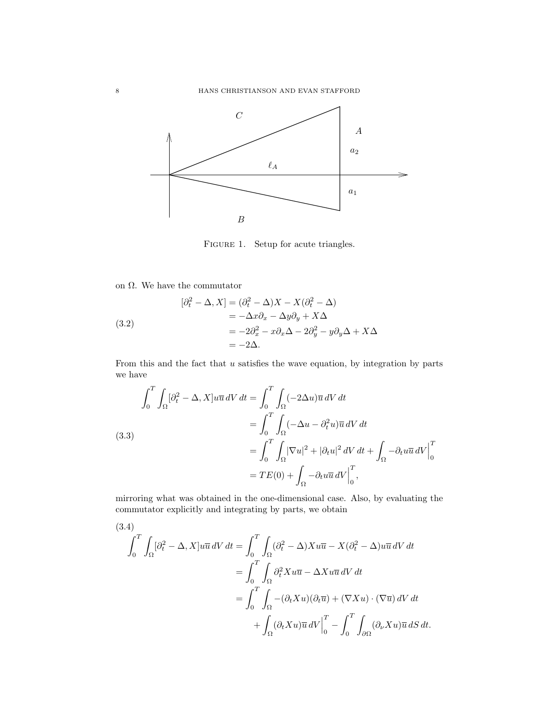

<span id="page-7-0"></span>FIGURE 1. Setup for acute triangles.

on Ω. We have the commutator

<span id="page-7-2"></span>(3.2)  
\n
$$
[\partial_t^2 - \Delta, X] = (\partial_t^2 - \Delta)X - X(\partial_t^2 - \Delta)
$$
\n
$$
= -\Delta x \partial_x - \Delta y \partial_y + X \Delta
$$
\n
$$
= -2\partial_x^2 - x \partial_x \Delta - 2\partial_y^2 - y \partial_y \Delta + X \Delta
$$
\n
$$
= -2\Delta.
$$

From this and the fact that  $u$  satisfies the wave equation, by integration by parts we have

<span id="page-7-1"></span>(3.3)  
\n
$$
\int_0^T \int_{\Omega} [\partial_t^2 - \Delta, X] u \overline{u} \, dV \, dt = \int_0^T \int_{\Omega} (-2\Delta u) \overline{u} \, dV \, dt
$$
\n
$$
= \int_0^T \int_{\Omega} (-\Delta u - \partial_t^2 u) \overline{u} \, dV \, dt
$$
\n
$$
= \int_0^T \int_{\Omega} |\nabla u|^2 + |\partial_t u|^2 \, dV \, dt + \int_{\Omega} -\partial_t u \overline{u} \, dV \Big|_0^T
$$
\n
$$
= TE(0) + \int_{\Omega} -\partial_t u \overline{u} \, dV \Big|_0^T,
$$

mirroring what was obtained in the one-dimensional case. Also, by evaluating the commutator explicitly and integrating by parts, we obtain

(3.4)  
\n
$$
\int_0^T \int_{\Omega} [\partial_t^2 - \Delta, X] u \overline{u} dV dt = \int_0^T \int_{\Omega} (\partial_t^2 - \Delta) X u \overline{u} - X (\partial_t^2 - \Delta) u \overline{u} dV dt
$$
\n
$$
= \int_0^T \int_{\Omega} \partial_t^2 X u \overline{u} - \Delta X u \overline{u} dV dt
$$
\n
$$
= \int_0^T \int_{\Omega} -(\partial_t X u)(\partial_t \overline{u}) + (\nabla X u) \cdot (\nabla \overline{u}) dV dt
$$
\n
$$
+ \int_{\Omega} (\partial_t X u) \overline{u} dV \Big|_0^T - \int_0^T \int_{\partial \Omega} (\partial_\nu X u) \overline{u} dS dt.
$$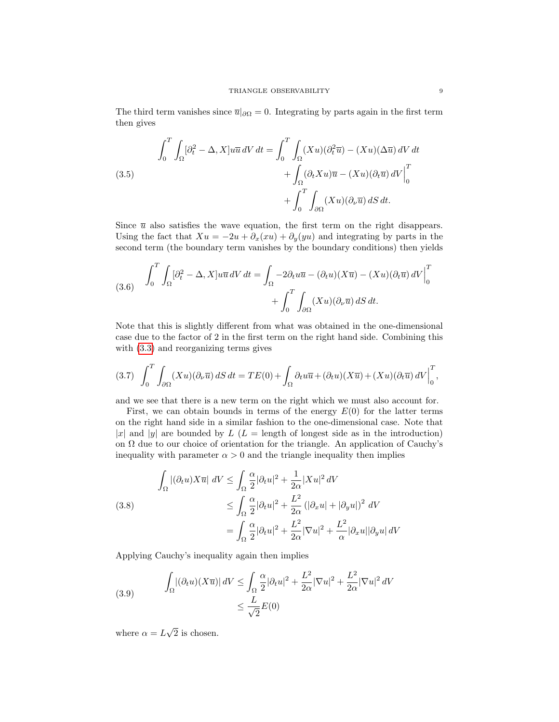The third term vanishes since  $\overline{u}|_{\partial\Omega} = 0$ . Integrating by parts again in the first term then gives

(3.5)  
\n
$$
\int_0^T \int_{\Omega} [\partial_t^2 - \Delta, X] u \overline{u} \, dV \, dt = \int_0^T \int_{\Omega} (Xu)(\partial_t^2 \overline{u}) - (Xu)(\Delta \overline{u}) \, dV \, dt
$$
\n
$$
+ \int_{\Omega} (\partial_t Xu) \overline{u} - (Xu)(\partial_t \overline{u}) \, dV \Big|_0^T
$$
\n
$$
+ \int_0^T \int_{\partial \Omega} (Xu)(\partial_\nu \overline{u}) \, dS \, dt.
$$

Since  $\bar{u}$  also satisfies the wave equation, the first term on the right disappears. Using the fact that  $Xu = -2u + \partial_x(xu) + \partial_y(yu)$  and integrating by parts in the second term (the boundary term vanishes by the boundary conditions) then yields

(3.6) 
$$
\int_0^T \int_{\Omega} [\partial_t^2 - \Delta, X] u \overline{u} dV dt = \int_{\Omega} -2 \partial_t u \overline{u} - (\partial_t u)(X \overline{u}) - (X u)(\partial_t \overline{u}) dV \Big|_0^T + \int_0^T \int_{\partial \Omega} (X u)(\partial_\nu \overline{u}) dS dt.
$$

Note that this is slightly different from what was obtained in the one-dimensional case due to the factor of 2 in the first term on the right hand side. Combining this with [\(3.3\)](#page-7-1) and reorganizing terms gives

<span id="page-8-1"></span>
$$
(3.7)\ \ \int_0^T \int_{\partial\Omega} (Xu)(\partial_\nu \overline{u})\,dS\,dt = TE(0) + \int_\Omega \partial_t u \overline{u} + (\partial_t u)(X\overline{u}) + (Xu)(\partial_t \overline{u})\,dV\Big|_0^T,
$$

and we see that there is a new term on the right which we must also account for.

First, we can obtain bounds in terms of the energy  $E(0)$  for the latter terms on the right hand side in a similar fashion to the one-dimensional case. Note that |x| and |y| are bounded by  $L(L = \text{length of longest side as in the introduction})$ on  $\Omega$  due to our choice of orientation for the triangle. An application of Cauchy's inequality with parameter  $\alpha > 0$  and the triangle inequality then implies

(3.8)  

$$
\int_{\Omega} |(\partial_t u) X \overline{u}| \ dV \le \int_{\Omega} \frac{\alpha}{2} |\partial_t u|^2 + \frac{1}{2\alpha} |Xu|^2 \ dV
$$

$$
\le \int_{\Omega} \frac{\alpha}{2} |\partial_t u|^2 + \frac{L^2}{2\alpha} (|\partial_x u| + |\partial_y u|)^2 \ dV
$$

$$
= \int_{\Omega} \frac{\alpha}{2} |\partial_t u|^2 + \frac{L^2}{2\alpha} |\nabla u|^2 + \frac{L^2}{\alpha} |\partial_x u| |\partial_y u| \ dV
$$

Applying Cauchy's inequality again then implies

<span id="page-8-0"></span>(3.9) 
$$
\int_{\Omega} |(\partial_t u)(X\overline{u})| dV \le \int_{\Omega} \frac{\alpha}{2} |\partial_t u|^2 + \frac{L^2}{2\alpha} |\nabla u|^2 + \frac{L^2}{2\alpha} |\nabla u|^2 dV
$$

$$
\le \frac{L}{\sqrt{2}} E(0)
$$

where  $\alpha = L$ √ 2 is chosen.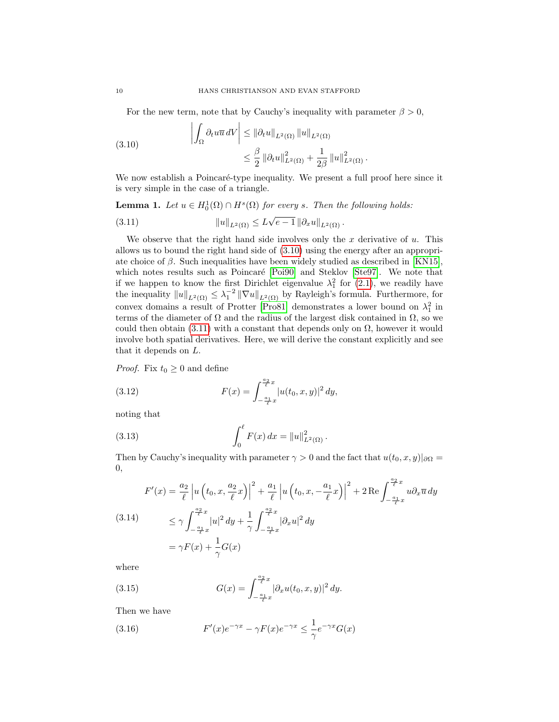For the new term, note that by Cauchy's inequality with parameter  $\beta > 0$ ,

<span id="page-9-0"></span>(3.10) 
$$
\left| \int_{\Omega} \partial_t u \overline{u} \, dV \right| \leq \|\partial_t u\|_{L^2(\Omega)} \|u\|_{L^2(\Omega)}
$$

$$
\leq \frac{\beta}{2} \|\partial_t u\|_{L^2(\Omega)}^2 + \frac{1}{2\beta} \|u\|_{L^2(\Omega)}^2.
$$

We now establish a Poincaré-type inequality. We present a full proof here since it is very simple in the case of a triangle.

**Lemma 1.** Let  $u \in H_0^1(\Omega) \cap H^s(\Omega)$  for every s. Then the following holds:

<span id="page-9-1"></span>(3.11) 
$$
||u||_{L^{2}(\Omega)} \leq L\sqrt{e-1} ||\partial_{x}u||_{L^{2}(\Omega)}.
$$

We observe that the right hand side involves only the  $x$  derivative of  $u$ . This allows us to bound the right hand side of [\(3.10\)](#page-9-0) using the energy after an appropriate choice of  $\beta$ . Such inequalities have been widely studied as described in [\[KN15\]](#page-16-8), which notes results such as Poincaré [\[Poi90\]](#page-16-9) and Steklov [\[Ste97\]](#page-16-10). We note that if we happen to know the first Dirichlet eigenvalue  $\lambda_1^2$  for [\(2.1\)](#page-2-0), we readily have the inequality  $||u||_{L^2(\Omega)} \leq \lambda_1^{-2} ||\nabla u||_{L^2(\Omega)}$  by Rayleigh's formula. Furthermore, for convex domains a result of Protter [\[Pro81\]](#page-16-11) demonstrates a lower bound on  $\lambda_1^2$  in terms of the diameter of  $\Omega$  and the radius of the largest disk contained in  $\Omega$ , so we could then obtain  $(3.11)$  with a constant that depends only on  $\Omega$ , however it would involve both spatial derivatives. Here, we will derive the constant explicitly and see that it depends on L.

*Proof.* Fix  $t_0 \geq 0$  and define

<span id="page-9-2"></span>(3.12) 
$$
F(x) = \int_{-\frac{a_1}{\ell}x}^{\frac{a_2}{\ell}x} |u(t_0, x, y)|^2 dy,
$$

noting that

(3.13) 
$$
\int_0^{\ell} F(x) dx = ||u||^2_{L^2(\Omega)}.
$$

Then by Cauchy's inequality with parameter  $\gamma > 0$  and the fact that  $u(t_0, x, y)|_{\partial \Omega} =$ 0,

$$
F'(x) = \frac{a_2}{\ell} \left| u\left(t_0, x, \frac{a_2}{\ell}x\right) \right|^2 + \frac{a_1}{\ell} \left| u\left(t_0, x, -\frac{a_1}{\ell}x\right) \right|^2 + 2 \operatorname{Re} \int_{-\frac{a_1}{\ell}x}^{\frac{a_2}{\ell}x} u \partial_x \overline{u} \, dy
$$
\n
$$
\leq \gamma \int_{-\frac{a_1}{\ell}x}^{\frac{a_2}{\ell}x} |u|^2 \, dy + \frac{1}{\gamma} \int_{-\frac{a_1}{\ell}x}^{\frac{a_2}{\ell}x} |\partial_x u|^2 \, dy
$$
\n
$$
= \gamma F(x) + \frac{1}{\gamma} G(x)
$$

where

(3.15) 
$$
G(x) = \int_{-\frac{a_1}{\ell}x}^{\frac{a_2}{\ell}x} |\partial_x u(t_0, x, y)|^2 dy.
$$

Then we have

(3.16) 
$$
F'(x)e^{-\gamma x} - \gamma F(x)e^{-\gamma x} \le \frac{1}{\gamma}e^{-\gamma x}G(x)
$$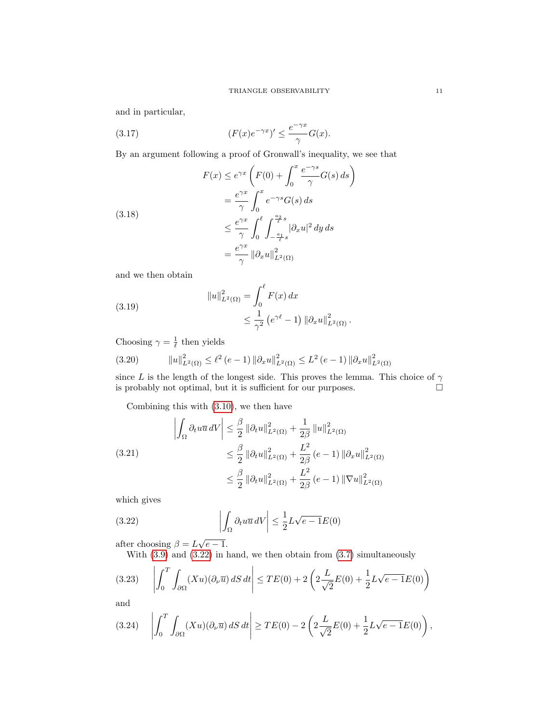and in particular,

(3.17) 
$$
(F(x)e^{-\gamma x})' \leq \frac{e^{-\gamma x}}{\gamma}G(x).
$$

By an argument following a proof of Gronwall's inequality, we see that

(3.18)  
\n
$$
F(x) \le e^{\gamma x} \left( F(0) + \int_0^x \frac{e^{-\gamma s}}{\gamma} G(s) ds \right)
$$
\n
$$
= \frac{e^{\gamma x}}{\gamma} \int_0^x e^{-\gamma s} G(s) ds
$$
\n
$$
\le \frac{e^{\gamma x}}{\gamma} \int_0^\ell \int_{-\frac{a_1}{\ell}s}^{\frac{a_2}{\ell}s} |\partial_x u|^2 dy ds
$$
\n
$$
= \frac{e^{\gamma x}}{\gamma} ||\partial_x u||_{L^2(\Omega)}^2
$$

and we then obtain

(3.19) 
$$
||u||_{L^{2}(\Omega)}^{2} = \int_{0}^{\ell} F(x) dx
$$

$$
\leq \frac{1}{\gamma^{2}} (e^{\gamma \ell} - 1) ||\partial_{x} u||_{L^{2}(\Omega)}^{2}.
$$

Choosing  $\gamma = \frac{1}{\ell}$  then yields

$$
(3.20) \t\t ||u||_{L^{2}(\Omega)}^{2} \leq \ell^{2} (e-1) ||\partial_{x} u||_{L^{2}(\Omega)}^{2} \leq L^{2} (e-1) ||\partial_{x} u||_{L^{2}(\Omega)}^{2}
$$

since L is the length of the longest side. This proves the lemma. This choice of  $\gamma$ is probably not optimal, but it is sufficient for our purposes.  $\Box$ 

Combining this with [\(3.10\)](#page-9-0), we then have

$$
\left| \int_{\Omega} \partial_t u \overline{u} \, dV \right| \leq \frac{\beta}{2} \left\| \partial_t u \right\|_{L^2(\Omega)}^2 + \frac{1}{2\beta} \left\| u \right\|_{L^2(\Omega)}^2
$$
\n
$$
\leq \frac{\beta}{2} \left\| \partial_t u \right\|_{L^2(\Omega)}^2 + \frac{L^2}{2\beta} \left( e - 1 \right) \left\| \partial_x u \right\|_{L^2(\Omega)}^2
$$
\n
$$
\leq \frac{\beta}{2} \left\| \partial_t u \right\|_{L^2(\Omega)}^2 + \frac{L^2}{2\beta} \left( e - 1 \right) \left\| \nabla u \right\|_{L^2(\Omega)}^2
$$

which gives

(3.22) 
$$
\left| \int_{\Omega} \partial_t u \overline{u} \, dV \right| \leq \frac{1}{2} L \sqrt{e - 1} E(0)
$$

after choosing  $\beta = L\sqrt{e-1}$ .

<span id="page-10-0"></span>With [\(3.9\)](#page-8-0) and [\(3.22\)](#page-10-0) in hand, we then obtain from [\(3.7\)](#page-8-1) simultaneously

$$
(3.23) \quad \left| \int_0^T \int_{\partial \Omega} (Xu)(\partial_\nu \overline{u}) \, dS \, dt \right| \le TE(0) + 2\left(2\frac{L}{\sqrt{2}}E(0) + \frac{1}{2}L\sqrt{e-1}E(0)\right)
$$

and

$$
(3.24) \quad \left| \int_0^T \int_{\partial \Omega} (Xu)(\partial_\nu \overline{u}) \, dS \, dt \right| \geq TE(0) - 2\left(2\frac{L}{\sqrt{2}}E(0) + \frac{1}{2}L\sqrt{e-1}E(0)\right),
$$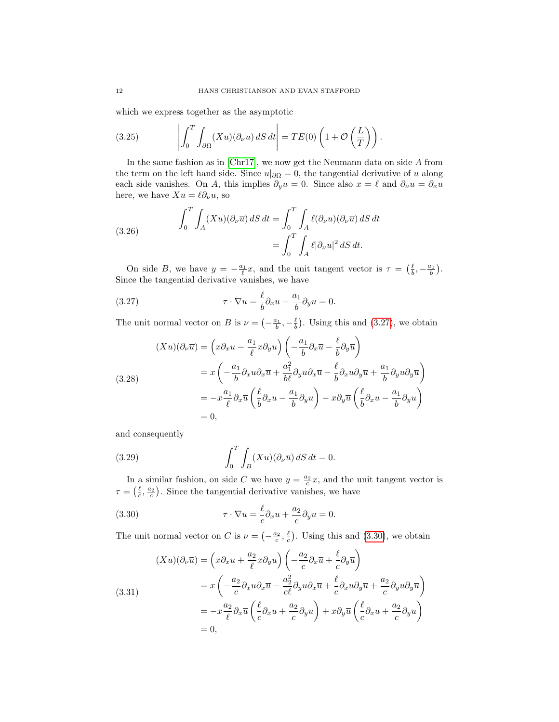which we express together as the asymptotic

<span id="page-11-3"></span>(3.25) 
$$
\left| \int_0^T \int_{\partial \Omega} (Xu)(\partial_\nu \overline{u}) \, dS \, dt \right| = TE(0) \left( 1 + \mathcal{O} \left( \frac{L}{T} \right) \right).
$$

In the same fashion as in [\[Chr17\]](#page-16-0), we now get the Neumann data on side A from the term on the left hand side. Since  $u|_{\partial\Omega} = 0$ , the tangential derivative of u along each side vanishes. On A, this implies  $\partial_y u = 0$ . Since also  $x = \ell$  and  $\partial_\nu u = \partial_x u$ here, we have  $Xu = \ell \partial_{\nu} u$ , so

(3.26) 
$$
\int_0^T \int_A (Xu)(\partial_\nu \overline{u}) dS dt = \int_0^T \int_A \ell(\partial_\nu u)(\partial_\nu \overline{u}) dS dt
$$

$$
= \int_0^T \int_A \ell |\partial_\nu u|^2 dS dt.
$$

On side B, we have  $y = -\frac{a_1}{\ell}x$ , and the unit tangent vector is  $\tau = \left(\frac{\ell}{b}, -\frac{a_1}{b}\right)$ . Since the tangential derivative vanishes, we have

<span id="page-11-0"></span>(3.27) 
$$
\tau \cdot \nabla u = \frac{\ell}{b} \partial_x u - \frac{a_1}{b} \partial_y u = 0.
$$

The unit normal vector on B is  $\nu = \left(-\frac{a_1}{b}, -\frac{\ell}{b}\right)$ . Using this and [\(3.27\)](#page-11-0), we obtain

(3.28)  
\n
$$
(Xu)(\partial_{\nu}\overline{u}) = \left(x\partial_x u - \frac{a_1}{\ell}x\partial_y u\right) \left(-\frac{a_1}{b}\partial_x\overline{u} - \frac{\ell}{b}\partial_y\overline{u}\right)
$$
\n
$$
= x\left(-\frac{a_1}{b}\partial_x u\partial_x\overline{u} + \frac{a_1^2}{b\ell}\partial_y u\partial_x\overline{u} - \frac{\ell}{b}\partial_x u\partial_y\overline{u} + \frac{a_1}{b}\partial_y u\partial_y\overline{u}\right)
$$
\n
$$
= -x\frac{a_1}{\ell}\partial_x\overline{u}\left(\frac{\ell}{b}\partial_x u - \frac{a_1}{b}\partial_y u\right) - x\partial_y\overline{u}\left(\frac{\ell}{b}\partial_x u - \frac{a_1}{b}\partial_y u\right)
$$
\n
$$
= 0,
$$

and consequently

<span id="page-11-2"></span>(3.29) 
$$
\int_0^T \int_B (Xu)(\partial_\nu \overline{u}) dS dt = 0.
$$

In a similar fashion, on side C we have  $y = \frac{a_2}{c}x$ , and the unit tangent vector is  $\tau = \left(\frac{\ell}{c}, \frac{a_2}{c}\right)$ . Since the tangential derivative vanishes, we have

<span id="page-11-1"></span>(3.30) 
$$
\tau \cdot \nabla u = -\frac{\ell}{c} \partial_x u + \frac{a_2}{c} \partial_y u = 0.
$$

The unit normal vector on C is  $\nu = \left(-\frac{a_2}{c}, \frac{\ell}{c}\right)$ . Using this and [\(3.30\)](#page-11-1), we obtain

(3.31)  
\n
$$
(Xu)(\partial_{\nu}\overline{u}) = \left(x\partial_x u + \frac{a_2}{\ell}x\partial_y u\right) \left(-\frac{a_2}{c}\partial_x\overline{u} + \frac{\ell}{c}\partial_y\overline{u}\right)
$$
\n
$$
= x\left(-\frac{a_2}{c}\partial_x u \partial_x\overline{u} - \frac{a_2^2}{c\ell}\partial_y u \partial_x\overline{u} + \frac{\ell}{c}\partial_x u \partial_y\overline{u} + \frac{a_2}{c}\partial_y u \partial_y\overline{u}\right)
$$
\n
$$
= -x\frac{a_2}{\ell}\partial_x\overline{u}\left(\frac{\ell}{c}\partial_x u + \frac{a_2}{c}\partial_y u\right) + x\partial_y\overline{u}\left(\frac{\ell}{c}\partial_x u + \frac{a_2}{c}\partial_y u\right)
$$
\n
$$
= 0,
$$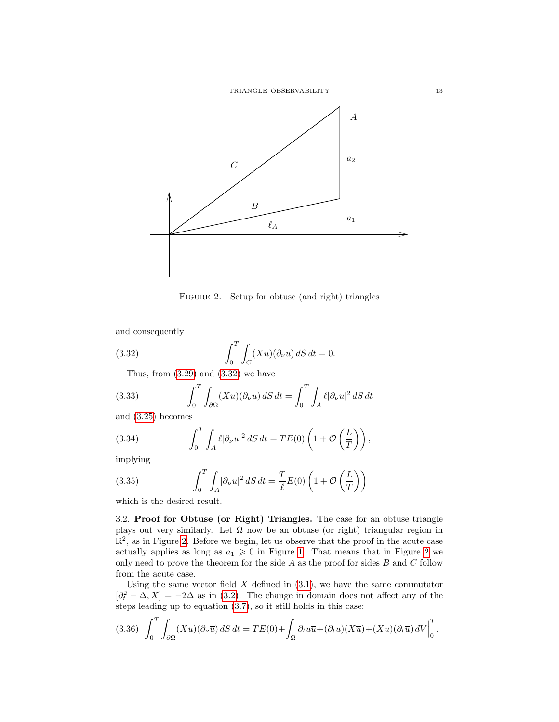

<span id="page-12-1"></span><span id="page-12-0"></span>FIGURE 2. Setup for obtuse (and right) triangles

and consequently

(3.32) 
$$
\int_0^T \int_C (Xu)(\partial_\nu \overline{u}) dS dt = 0.
$$

Thus, from  $(3.29)$  and  $(3.32)$  we have

(3.33) 
$$
\int_0^T \int_{\partial \Omega} (Xu)(\partial_\nu \overline{u}) dS dt = \int_0^T \int_A \ell |\partial_\nu u|^2 dS dt
$$

and [\(3.25\)](#page-11-3) becomes

(3.34) 
$$
\int_0^T \int_A \ell |\partial_\nu u|^2 \, dS \, dt = TE(0) \left( 1 + \mathcal{O}\left(\frac{L}{T}\right) \right),
$$

implying

(3.35) 
$$
\int_0^T \int_A |\partial_\nu u|^2 \, dS \, dt = \frac{T}{\ell} E(0) \left( 1 + \mathcal{O}\left(\frac{L}{T}\right) \right)
$$

which is the desired result.

3.2. Proof for Obtuse (or Right) Triangles. The case for an obtuse triangle plays out very similarly. Let  $\Omega$  now be an obtuse (or right) triangular region in  $\mathbb{R}^2$ , as in Figure [2.](#page-12-0) Before we begin, let us observe that the proof in the acute case actually applies as long as  $a_1 \geq 0$  in Figure [1.](#page-7-0) That means that in Figure [2](#page-12-0) we only need to prove the theorem for the side  $A$  as the proof for sides  $B$  and  $C$  follow from the acute case.

Using the same vector field  $X$  defined in  $(3.1)$ , we have the same commutator  $[\partial_t^2 - \Delta, X] = -2\Delta$  as in [\(3.2\)](#page-7-2). The change in domain does not affect any of the steps leading up to equation [\(3.7\)](#page-8-1), so it still holds in this case:

$$
(3.36)\quad \int_0^T \int_{\partial\Omega} (Xu)(\partial_\nu \overline{u}) \, dS \, dt = TE(0) + \int_{\Omega} \partial_t u \overline{u} + (\partial_t u)(X\overline{u}) + (Xu)(\partial_t \overline{u}) \, dV \Big|_0^T.
$$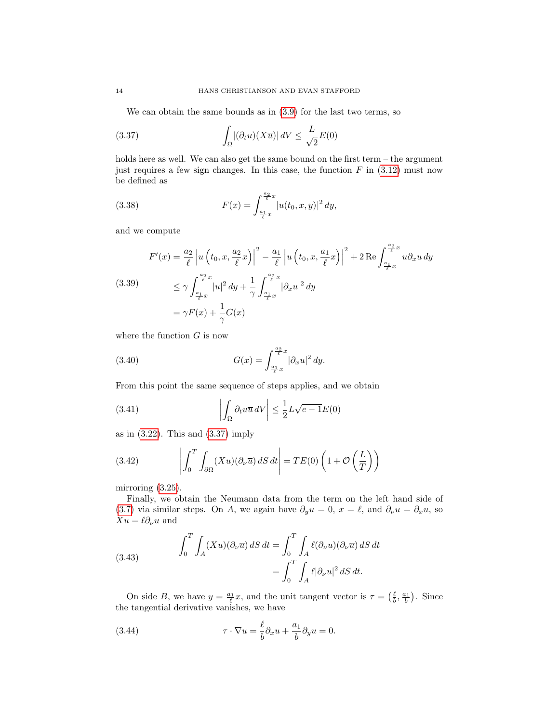<span id="page-13-0"></span>We can obtain the same bounds as in [\(3.9\)](#page-8-0) for the last two terms, so

(3.37) 
$$
\int_{\Omega} |(\partial_t u)(X\overline{u})| dV \leq \frac{L}{\sqrt{2}} E(0)
$$

holds here as well. We can also get the same bound on the first term – the argument just requires a few sign changes. In this case, the function  $F$  in  $(3.12)$  must now be defined as

(3.38) 
$$
F(x) = \int_{\frac{a_1}{\ell}x}^{\frac{a_2}{\ell}x} |u(t_0, x, y)|^2 dy,
$$

and we compute

(3.39)  
\n
$$
F'(x) = \frac{a_2}{\ell} \left| u \left( t_0, x, \frac{a_2}{\ell} x \right) \right|^2 - \frac{a_1}{\ell} \left| u \left( t_0, x, \frac{a_1}{\ell} x \right) \right|^2 + 2 \operatorname{Re} \int_{\frac{a_1}{\ell} x}^{\frac{a_2}{\ell} x} u \partial_x u \, dy
$$
\n
$$
\leq \gamma \int_{\frac{a_1}{\ell} x}^{\frac{a_2}{\ell} x} |u|^2 \, dy + \frac{1}{\gamma} \int_{\frac{a_1}{\ell} x}^{\frac{a_2}{\ell} x} |\partial_x u|^2 \, dy
$$
\n
$$
= \gamma F(x) + \frac{1}{\gamma} G(x)
$$

where the function  $G$  is now

(3.40) 
$$
G(x) = \int_{\frac{a_1}{\ell}x}^{\frac{a_2}{\ell}x} |\partial_x u|^2 dy.
$$

From this point the same sequence of steps applies, and we obtain

(3.41) 
$$
\left| \int_{\Omega} \partial_t u \overline{u} \, dV \right| \leq \frac{1}{2} L \sqrt{e - 1} E(0)
$$

as in  $(3.22)$ . This and  $(3.37)$  imply

<span id="page-13-2"></span>(3.42) 
$$
\left| \int_0^T \int_{\partial \Omega} (Xu)(\partial_\nu \overline{u}) \, dS \, dt \right| = TE(0) \left( 1 + \mathcal{O} \left( \frac{L}{T} \right) \right)
$$

mirroring  $(3.25)$ .

Finally, we obtain the Neumann data from the term on the left hand side of [\(3.7\)](#page-8-1) via similar steps. On A, we again have  $\partial_y u = 0$ ,  $x = \ell$ , and  $\partial_\nu u = \partial_x u$ , so  $Xu = \ell \partial_\nu u$  and

(3.43) 
$$
\int_0^T \int_A (Xu)(\partial_\nu \overline{u}) dS dt = \int_0^T \int_A \ell(\partial_\nu u)(\partial_\nu \overline{u}) dS dt
$$

$$
= \int_0^T \int_A \ell |\partial_\nu u|^2 dS dt.
$$

On side B, we have  $y = \frac{a_1}{\ell}x$ , and the unit tangent vector is  $\tau = \left(\frac{\ell}{b}, \frac{a_1}{b}\right)$ . Since the tangential derivative vanishes, we have

<span id="page-13-1"></span>(3.44) 
$$
\tau \cdot \nabla u = \frac{\ell}{b} \partial_x u + \frac{a_1}{b} \partial_y u = 0.
$$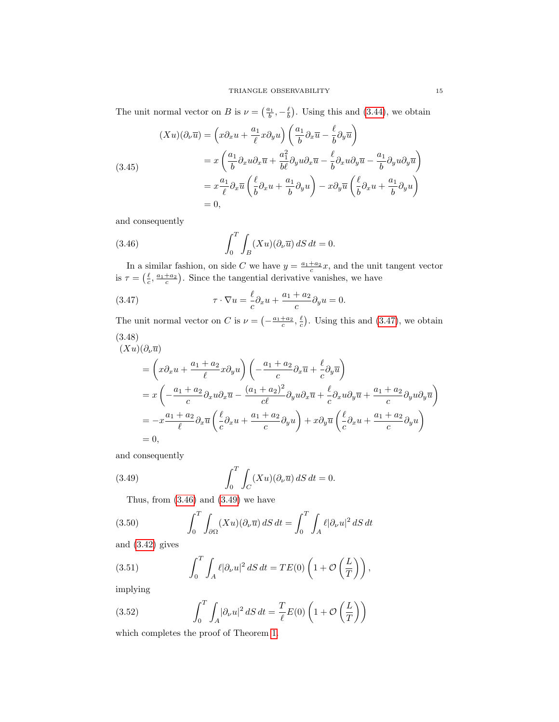The unit normal vector on B is  $\nu = \left(\frac{a_1}{b}, -\frac{\ell}{b}\right)$ . Using this and [\(3.44\)](#page-13-1), we obtain

(3.45)  
\n
$$
(Xu)(\partial_{\nu}\overline{u}) = \left(x\partial_{x}u + \frac{a_{1}}{\ell}x\partial_{y}u\right)\left(\frac{a_{1}}{b}\partial_{x}\overline{u} - \frac{\ell}{b}\partial_{y}\overline{u}\right)
$$
\n
$$
= x\left(\frac{a_{1}}{b}\partial_{x}u\partial_{x}\overline{u} + \frac{a_{1}^{2}}{b\ell}\partial_{y}u\partial_{x}\overline{u} - \frac{\ell}{b}\partial_{x}u\partial_{y}\overline{u} - \frac{a_{1}}{b}\partial_{y}u\partial_{y}\overline{u}\right)
$$
\n
$$
= x\frac{a_{1}}{\ell}\partial_{x}\overline{u}\left(\frac{\ell}{b}\partial_{x}u + \frac{a_{1}}{b}\partial_{y}u\right) - x\partial_{y}\overline{u}\left(\frac{\ell}{b}\partial_{x}u + \frac{a_{1}}{b}\partial_{y}u\right)
$$
\n
$$
= 0,
$$

and consequently

<span id="page-14-1"></span>(3.46) 
$$
\int_0^T \int_B (Xu)(\partial_\nu \overline{u}) dS dt = 0.
$$

In a similar fashion, on side C we have  $y = \frac{a_1 + a_2}{c}x$ , and the unit tangent vector is  $\tau = \left(\frac{\ell}{c}, \frac{a_1 + a_2}{c}\right)$ . Since the tangential derivative vanishes, we have

<span id="page-14-0"></span>(3.47) 
$$
\tau \cdot \nabla u = -\frac{\ell}{c} \partial_x u + \frac{a_1 + a_2}{c} \partial_y u = 0.
$$

The unit normal vector on C is  $\nu = \left(-\frac{a_1+a_2}{c}, \frac{\ell}{c}\right)$ . Using this and [\(3.47\)](#page-14-0), we obtain (3.48)

$$
(Xu)(\partial_{\nu}\overline{u})
$$
  
=  $\left(x\partial_x u + \frac{a_1 + a_2}{\ell}x\partial_y u\right)\left(-\frac{a_1 + a_2}{\ell}\partial_x\overline{u} + \frac{\ell}{c}\partial_y\overline{u}\right)$   
=  $x\left(-\frac{a_1 + a_2}{\ell}\partial_x u \partial_x\overline{u} - \frac{(a_1 + a_2)^2}{\ell\ell}\partial_y u \partial_x\overline{u} + \frac{\ell}{c}\partial_x u \partial_y\overline{u} + \frac{a_1 + a_2}{\ell}\partial_y u \partial_y\overline{u}\right)$   
=  $-x\frac{a_1 + a_2}{\ell}\partial_x\overline{u}\left(\frac{\ell}{c}\partial_x u + \frac{a_1 + a_2}{c}\partial_y u\right) + x\partial_y\overline{u}\left(\frac{\ell}{c}\partial_x u + \frac{a_1 + a_2}{c}\partial_y u\right)$   
= 0,

and consequently

(3.49) 
$$
\int_0^T \int_C (Xu)(\partial_\nu \overline{u}) dS dt = 0.
$$

<span id="page-14-2"></span>Thus, from  $(3.46)$  and  $(3.49)$  we have

(3.50) 
$$
\int_0^T \int_{\partial \Omega} (Xu)(\partial_\nu \overline{u}) dS dt = \int_0^T \int_A \ell |\partial_\nu u|^2 dS dt
$$

and [\(3.42\)](#page-13-2) gives

(3.51) 
$$
\int_0^T \int_A \ell |\partial_\nu u|^2 \, dS \, dt = TE(0) \left( 1 + \mathcal{O} \left( \frac{L}{T} \right) \right),
$$

implying

(3.52) 
$$
\int_0^T \int_A |\partial_\nu u|^2 \, dS \, dt = \frac{T}{\ell} E(0) \left( 1 + \mathcal{O}\left(\frac{L}{T}\right) \right)
$$

which completes the proof of Theorem [1.](#page-0-1)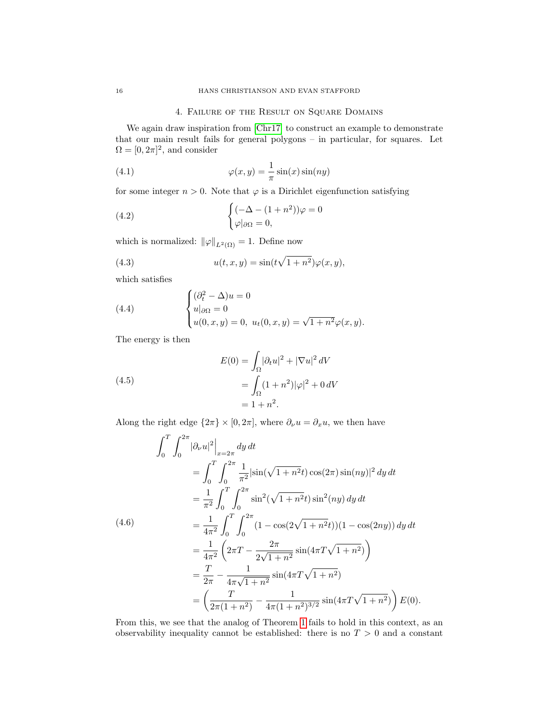# 4. Failure of the Result on Square Domains

<span id="page-15-0"></span>We again draw inspiration from [\[Chr17\]](#page-16-0) to construct an example to demonstrate that our main result fails for general polygons – in particular, for squares. Let  $\Omega = [0, 2\pi]^2$ , and consider

(4.1) 
$$
\varphi(x,y) = \frac{1}{\pi} \sin(x) \sin(ny)
$$

for some integer  $n > 0$ . Note that  $\varphi$  is a Dirichlet eigenfunction satisfying

(4.2) 
$$
\begin{cases} (-\Delta - (1+n^2))\varphi = 0\\ \varphi |_{\partial \Omega} = 0, \end{cases}
$$

which is normalized:  $\|\varphi\|_{L^2(\Omega)} = 1$ . Define now

<span id="page-15-1"></span>(4.3) 
$$
u(t,x,y) = \sin(t\sqrt{1+n^2})\varphi(x,y),
$$

which satisfies

(4.4) 
$$
\begin{cases} (\partial_t^2 - \Delta)u = 0 \\ u|_{\partial \Omega} = 0 \\ u(0, x, y) = 0, \ u_t(0, x, y) = \sqrt{1 + n^2} \varphi(x, y). \end{cases}
$$

The energy is then

(4.5)  

$$
E(0) = \int_{\Omega} |\partial_t u|^2 + |\nabla u|^2 dV
$$

$$
= \int_{\Omega} (1 + n^2)|\varphi|^2 + 0 dV
$$

$$
= 1 + n^2.
$$

Along the right edge  $\{2\pi\} \times [0, 2\pi]$ , where  $\partial_{\nu} u = \partial_x u$ , we then have

$$
\int_{0}^{T} \int_{0}^{2\pi} |\partial_{\nu} u|^{2} \Big|_{x=2\pi} dy dt
$$
\n
$$
= \int_{0}^{T} \int_{0}^{2\pi} \frac{1}{\pi^{2}} |\sin(\sqrt{1+n^{2}}t) \cos(2\pi) \sin(ny)|^{2} dy dt
$$
\n
$$
= \frac{1}{\pi^{2}} \int_{0}^{T} \int_{0}^{2\pi} \sin^{2}(\sqrt{1+n^{2}}t) \sin^{2}(ny) dy dt
$$
\n(4.6)\n
$$
= \frac{1}{4\pi^{2}} \int_{0}^{T} \int_{0}^{2\pi} (1 - \cos(2\sqrt{1+n^{2}}t)) (1 - \cos(2ny)) dy dt
$$
\n
$$
= \frac{1}{4\pi^{2}} \left( 2\pi T - \frac{2\pi}{2\sqrt{1+n^{2}}} \sin(4\pi T \sqrt{1+n^{2}}) \right)
$$
\n
$$
= \frac{T}{2\pi} - \frac{1}{4\pi\sqrt{1+n^{2}}} \sin(4\pi T \sqrt{1+n^{2}})
$$
\n
$$
= \left( \frac{T}{2\pi(1+n^{2})} - \frac{1}{4\pi(1+n^{2})^{3/2}} \sin(4\pi T \sqrt{1+n^{2}}) \right) E(0).
$$

From this, we see that the analog of Theorem [1](#page-0-1) fails to hold in this context, as an observability inequality cannot be established: there is no  $T > 0$  and a constant